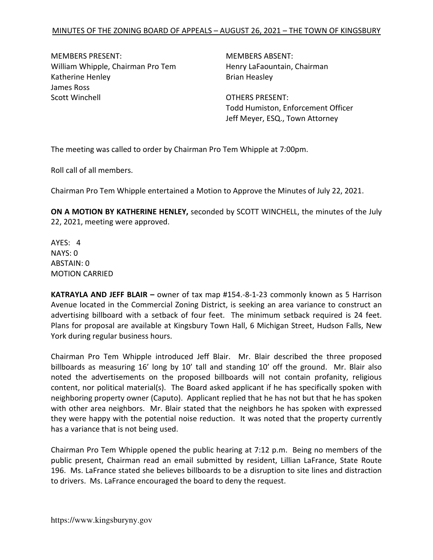MEMBERS PRESENT: MEMBERS ABSENT: William Whipple, Chairman Pro Tem Henry LaFaountain, Chairman Katherine Henley **Brian Heasley** Brian Heasley James Ross Scott Winchell **Scott Winchell** Scott Winchell

Todd Humiston, Enforcement Officer Jeff Meyer, ESQ., Town Attorney

The meeting was called to order by Chairman Pro Tem Whipple at 7:00pm.

Roll call of all members.

Chairman Pro Tem Whipple entertained a Motion to Approve the Minutes of July 22, 2021.

ON A MOTION BY KATHERINE HENLEY, seconded by SCOTT WINCHELL, the minutes of the July 22, 2021, meeting were approved.

AYES: 4 NAYS: 0 ABSTAIN: 0 MOTION CARRIED

KATRAYLA AND JEFF BLAIR – owner of tax map #154.-8-1-23 commonly known as 5 Harrison Avenue located in the Commercial Zoning District, is seeking an area variance to construct an advertising billboard with a setback of four feet. The minimum setback required is 24 feet. Plans for proposal are available at Kingsbury Town Hall, 6 Michigan Street, Hudson Falls, New York during regular business hours.

Chairman Pro Tem Whipple introduced Jeff Blair. Mr. Blair described the three proposed billboards as measuring 16' long by 10' tall and standing 10' off the ground. Mr. Blair also noted the advertisements on the proposed billboards will not contain profanity, religious content, nor political material(s). The Board asked applicant if he has specifically spoken with neighboring property owner (Caputo). Applicant replied that he has not but that he has spoken with other area neighbors. Mr. Blair stated that the neighbors he has spoken with expressed they were happy with the potential noise reduction. It was noted that the property currently has a variance that is not being used.

Chairman Pro Tem Whipple opened the public hearing at 7:12 p.m. Being no members of the public present, Chairman read an email submitted by resident, Lillian LaFrance, State Route 196. Ms. LaFrance stated she believes billboards to be a disruption to site lines and distraction to drivers. Ms. LaFrance encouraged the board to deny the request.

https://www.kingsburyny.gov